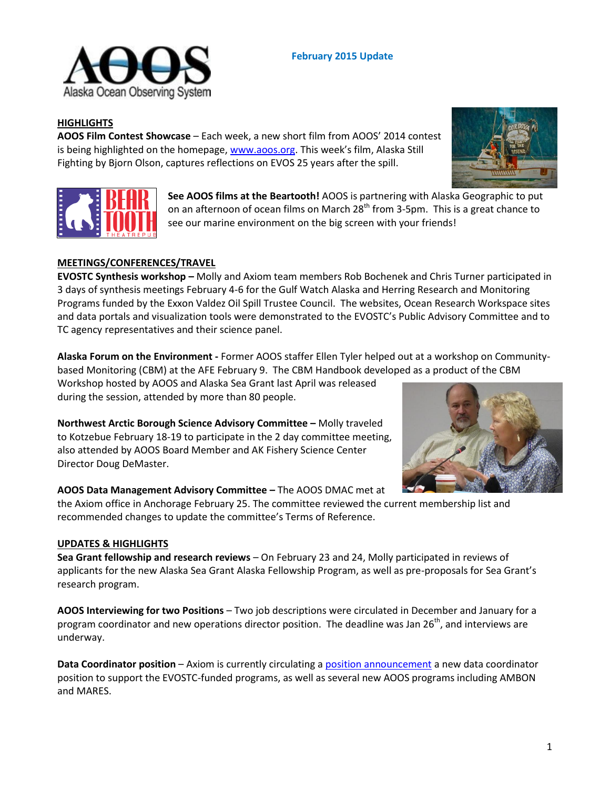

**AOOS Film Contest Showcase** – Each week, a new short film from AOOS' 2014 contest is being highlighted on the homepage, [www.aoos.org.](http://www.aoos.org/) This week's film, Alaska Still Fighting by Bjorn Olson, captures reflections on EVOS 25 years after the spill.

> **See AOOS films at the Beartooth!** AOOS is partnering with Alaska Geographic to put on an afternoon of ocean films on March 28<sup>th</sup> from 3-5pm. This is a great chance to see our marine environment on the big screen with your friends!

**February 2015 Update**

# **MEETINGS/CONFERENCES/TRAVEL**

**EVOSTC Synthesis workshop –** Molly and Axiom team members Rob Bochenek and Chris Turner participated in 3 days of synthesis meetings February 4-6 for the Gulf Watch Alaska and Herring Research and Monitoring Programs funded by the Exxon Valdez Oil Spill Trustee Council. The websites, Ocean Research Workspace sites and data portals and visualization tools were demonstrated to the EVOSTC's Public Advisory Committee and to TC agency representatives and their science panel.

**Alaska Forum on the Environment -** Former AOOS staffer Ellen Tyler helped out at a workshop on Communitybased Monitoring (CBM) at the AFE February 9. The CBM Handbook developed as a product of the CBM

Workshop hosted by AOOS and Alaska Sea Grant last April was released during the session, attended by more than 80 people.

**Northwest Arctic Borough Science Advisory Committee –** Molly traveled to Kotzebue February 18-19 to participate in the 2 day committee meeting, also attended by AOOS Board Member and AK Fishery Science Center Director Doug DeMaster.

# **AOOS Data Management Advisory Committee –** The AOOS DMAC met at

the Axiom office in Anchorage February 25. The committee reviewed the current membership list and recommended changes to update the committee's Terms of Reference.

### **UPDATES & HIGHLIGHTS**

**Sea Grant fellowship and research reviews** – On February 23 and 24, Molly participated in reviews of applicants for the new Alaska Sea Grant Alaska Fellowship Program, as well as pre-proposals for Sea Grant's research program.

**AOOS Interviewing for two Positions** – Two job descriptions were circulated in December and January for a program coordinator and new operations director position. The deadline was Jan  $26<sup>th</sup>$ , and interviews are underway.

**Data Coordinator position** – Axiom is currently circulating [a position announcement](http://www.aoos.org/aoos-data-team-recruiting-for-data-coordinator/) a new data coordinator position to support the EVOSTC-funded programs, as well as several new AOOS programs including AMBON and MARES.







**HIGHLIGHTS**